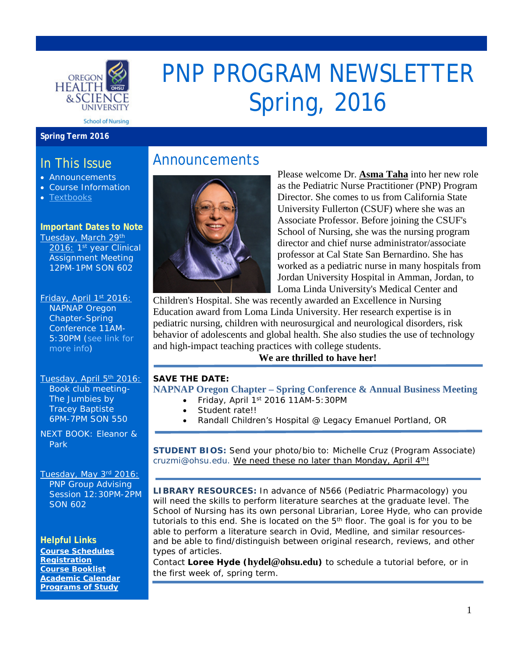

# PNP PROGRAM NEWSLETTER Spring, 2016

#### **Spring Term 2016**

### In This Issue

- Announcements
- Course Information
- Textbooks

#### **Important Dates to Note**

Tuesday, March 29th 2016: 1<sup>st</sup> year Clinical Assignment Meeting 12PM-1PM SON 602

Friday, April 1<sup>st</sup> 2016: NAPNAP Oregon Chapter-Spring Conference 11AM-5:30PM [\(see link for](http://community.napnap.org/oregonchapter/home)  [more info\)](http://community.napnap.org/oregonchapter/home)

Tuesday, April 5th 2016: Book club meeting-*The Jumbies* by Tracey Baptiste 6PM-7PM SON 550

NEXT BOOK: *Eleanor & Park*

#### Tuesday, May 3rd 2016: PNP Group Advising Session 12:30PM-2PM SON 602

**Helpful Links [Course Schedules](http://www.ohsu.edu/xd/education/schools/school-of-nursing/students/academic-affairs/course-schedule.cfm) [Registration](http://www.ohsu.edu/xd/education/schools/school-of-nursing/students/registration_records.cfm) [Course Booklist](http://www.bkstr.com/oregonhealthsciencestore/home/en?cm_mmc=Redirect-_-VanityURL-_-ohsu.bkstr.com-_-284905) [Academic Calendar](http://www.ohsu.edu/xd/education/student-services/registrar/registrar-forms/index.cfm) [Programs of Study](http://www.ohsu.edu/xd/education/schools/school-of-nursing/programs/programs-of-study-page.cfm?WT_rank=1)**

## Announcements



Please welcome Dr. **Asma Taha** into her new role as the Pediatric Nurse Practitioner (PNP) Program Director. She comes to us from California State University Fullerton (CSUF) where she was an Associate Professor. Before joining the CSUF's School of Nursing, she was the nursing program director and chief nurse administrator/associate professor at Cal State San Bernardino. She has worked as a pediatric nurse in many hospitals from Jordan University Hospital in Amman, Jordan, to Loma Linda University's Medical Center and

Children's Hospital. She was recently awarded an Excellence in Nursing Education award from Loma Linda University. Her research expertise is in pediatric nursing, children with neurosurgical and neurological disorders, risk behavior of adolescents and global health. She also studies the use of technology and high-impact teaching practices with college students.

#### **We are thrilled to have her!**

#### **SAVE THE DATE: NAPNAP Oregon Chapter – [Spring Conference & Annual Business Meeting](http://community.napnap.org/oregonchapter/home)**

- Friday, April 1st 2016 11AM-5:30PM
- Student rate!!
- Randall Children's Hospital @ Legacy Emanuel Portland, OR

**STUDENT BIOS:** Send your photo/bio to: Michelle Cruz (Program Associate) [cruzmi@ohsu.edu.](mailto:cruzmi@ohsu.edu) We need these no later than Monday, April 4<sup>th</sup>!

**LIBRARY RESOURCES:** In advance of N566 (Pediatric Pharmacology) you will need the skills to perform literature searches at the graduate level. The School of Nursing has its own personal Librarian, Loree Hyde, who can provide tutorials to this end. She is located on the  $5<sup>th</sup>$  floor. The goal is for you to be able to perform a literature search in Ovid, Medline, and similar resourcesand be able to find/distinguish between original research, reviews, and other types of articles.

Contact **Loree Hyde ([hydel@ohsu.edu](mailto:hydel@ohsu.edu))** to schedule a tutorial before, or in the first week of, spring term.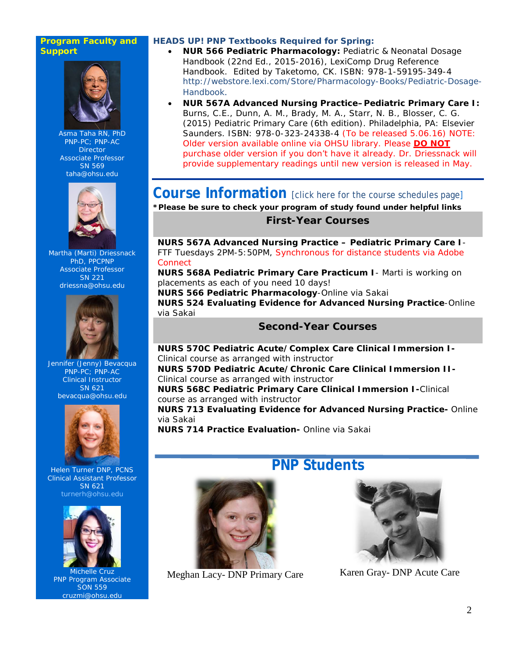#### **Program Faculty and Support**



Asma Taha RN, PhD PNP-PC; PNP-AC **Director** Associate Professor SN 569 [taha@ohsu.edu](mailto:taha@ohsu.edu)



Martha (Marti) Driessnack PhD, PPCPNP Associate Professor SN 221 [driessna@ohsu.edu](mailto:driessna@ohsu.edu)



Jennifer (Jenny) Bevacqua PNP-PC; PNP-AC Clinical Instructor SN 621 [bevacqua@ohsu.edu](mailto:bevacqua@ohsu.edu)



Helen Turner DNP, PCNS Clinical Assistant Professor SN 621 [turnerh@ohsu.edu](mailto:turnerh@ohsu.edu)



Michelle Cruz PNP Program Associate SON 559 cruzmi@ohsu.edu

#### **HEADS UP! PNP Textbooks Required for Spring:**

- **NUR 566 Pediatric Pharmacology:** Pediatric & Neonatal Dosage Handbook (22nd Ed., 2015-2016), LexiComp Drug Reference Handbook. Edited by Taketomo, CK. ISBN: 978-1-59195-349-4 [http://webstore.lexi.com/Store/Pharmacology-Books/Pediatric-Dosage-](http://webstore.lexi.com/Store/Pharmacology-Books/Pediatric-Dosage-Handbook)[Handbook](http://webstore.lexi.com/Store/Pharmacology-Books/Pediatric-Dosage-Handbook).
- **NUR 567A Advanced Nursing Practice–Pediatric Primary Care I:**  Burns, C.E., Dunn, A. M., Brady, M. A., Starr, N. B., Blosser, C. G. (2015) Pediatric Primary Care (6th edition). Philadelphia, PA: Elsevier Saunders. ISBN: 978-0-323-24338-4 (To be released 5.06.16) NOTE: Older version available online via OHSU library. Please **DO NOT** purchase older version if you don't have it already. Dr. Driessnack will provide supplementary readings until new version is released in May.

**Course Information** [\[click here for the course schedules page\]](http://www.ohsu.edu/xd/education/schools/school-of-nursing/students/academic-affairs/course-schedule.cfm)

**\*Please be sure to check your program of study found under helpful links**

#### **First-Year Courses**

**NURS 567A Advanced Nursing Practice – Pediatric Primary Care I**-*FTF Tuesdays 2PM-5:50PM, Synchronous for distance students via Adobe Connect*

**NURS 568A Pediatric Primary Care Practicum I**- *Marti is working on placements as each of you need 10 days!*

**NURS 566 Pediatric Pharmacology**-*Online via Sakai*

**NURS 524 Evaluating Evidence for Advanced Nursing Practice**-*Online via Sakai*

#### **Second-Year Courses**

**NURS 570C Pediatric Acute/Complex Care Clinical Immersion I-***Clinical course as arranged with instructor*

**NURS 570D Pediatric Acute/Chronic Care Clinical Immersion II-***Clinical course as arranged with instructor*

**NURS 568C Pediatric Primary Care Clinical Immersion I-***Clinical course as arranged with instructor*

**NURS 713 Evaluating Evidence for Advanced Nursing Practice-** *Online via Sakai*

**NURS 714 Practice Evaluation-** *Online via Sakai*



## **PNP Students**



Meghan Lacy- DNP Primary Care Karen Gray- DNP Acute Care